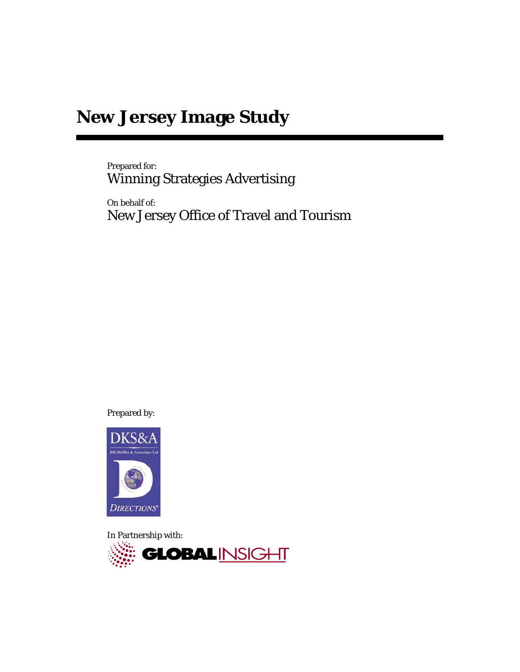# **New Jersey Image Study**

Prepared for: Winning Strategies Advertising

On behalf of: New Jersey Office of Travel and Tourism

Prepared by:



In Partnership with:

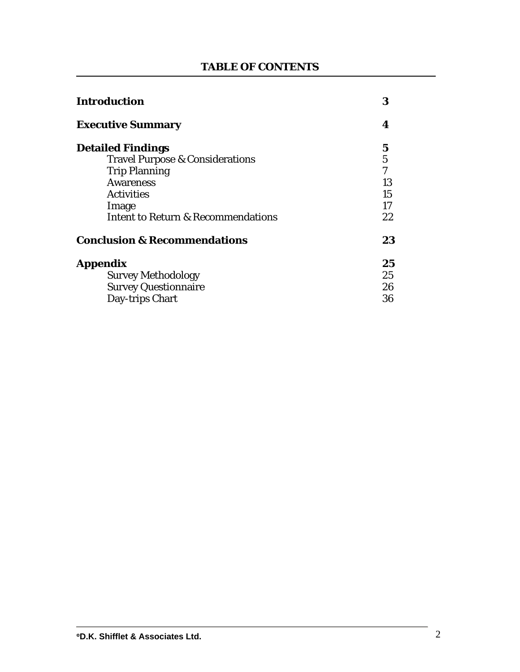# **TABLE OF CONTENTS**

| <b>Introduction</b>                           | 3              |
|-----------------------------------------------|----------------|
| <b>Executive Summary</b>                      | 4              |
| <b>Detailed Findings</b>                      | 5              |
| <b>Travel Purpose &amp; Considerations</b>    | $\overline{5}$ |
| <b>Trip Planning</b>                          | $\overline{7}$ |
| <b>Awareness</b>                              | 13             |
| <b>Activities</b>                             | 15             |
| Image                                         | 17             |
| <b>Intent to Return &amp; Recommendations</b> | 22             |
| <b>Conclusion &amp; Recommendations</b>       | 23             |
| <b>Appendix</b>                               | 25             |
| <b>Survey Methodology</b>                     | 25             |
| <b>Survey Questionnaire</b>                   | 26             |
| Day-trips Chart                               | 36             |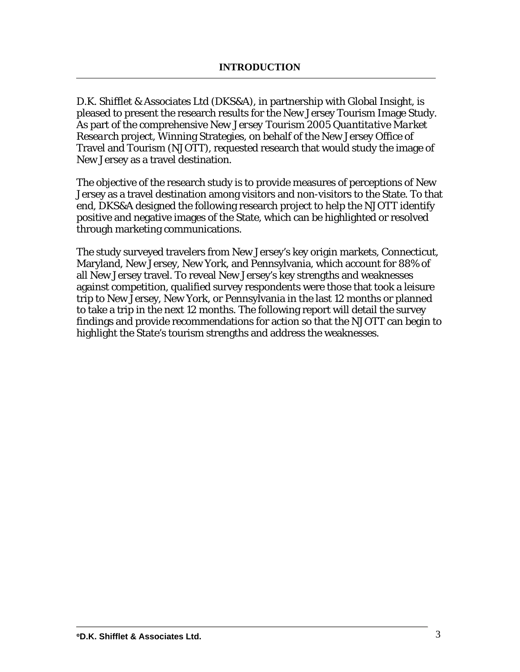D.K. Shifflet & Associates Ltd (DKS&A), in partnership with Global Insight, is pleased to present the research results for the New Jersey Tourism Image Study. As part of the comprehensive *New Jersey Tourism 2005 Quantitative Market Research* project, Winning Strategies, on behalf of the New Jersey Office of Travel and Tourism (NJOTT), requested research that would study the image of New Jersey as a travel destination.

The objective of the research study is to provide measures of perceptions of New Jersey as a travel destination among visitors and non-visitors to the State. To that end, DKS&A designed the following research project to help the NJOTT identify positive and negative images of the State, which can be highlighted or resolved through marketing communications.

The study surveyed travelers from New Jersey's key origin markets, Connecticut, Maryland, New Jersey, New York, and Pennsylvania, which account for 88% of all New Jersey travel. To reveal New Jersey's key strengths and weaknesses against competition, qualified survey respondents were those that took a leisure trip to New Jersey, New York, or Pennsylvania in the last 12 months or planned to take a trip in the next 12 months. The following report will detail the survey findings and provide recommendations for action so that the NJOTT can begin to highlight the State's tourism strengths and address the weaknesses.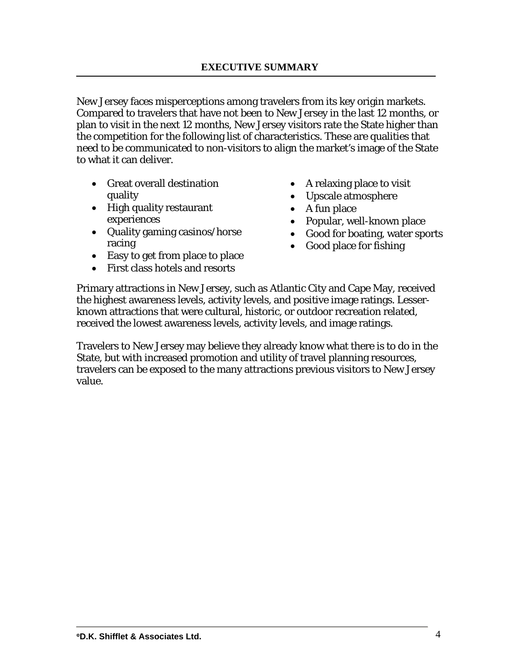New Jersey faces misperceptions among travelers from its key origin markets. Compared to travelers that have not been to New Jersey in the last 12 months, or plan to visit in the next 12 months, New Jersey visitors rate the State higher than the competition for the following list of characteristics. These are qualities that need to be communicated to non-visitors to align the market's image of the State to what it can deliver.

- Great overall destination quality
- High quality restaurant experiences
- Quality gaming casinos/horse racing
- Easy to get from place to place
- First class hotels and resorts
- A relaxing place to visit
- Upscale atmosphere
- A fun place
- Popular, well-known place
- Good for boating, water sports
- Good place for fishing

Primary attractions in New Jersey, such as Atlantic City and Cape May, received the highest awareness levels, activity levels, and positive image ratings. Lesserknown attractions that were cultural, historic, or outdoor recreation related, received the lowest awareness levels, activity levels, and image ratings.

Travelers to New Jersey may believe they already know what there is to do in the State, but with increased promotion and utility of travel planning resources, travelers can be exposed to the many attractions previous visitors to New Jersey value.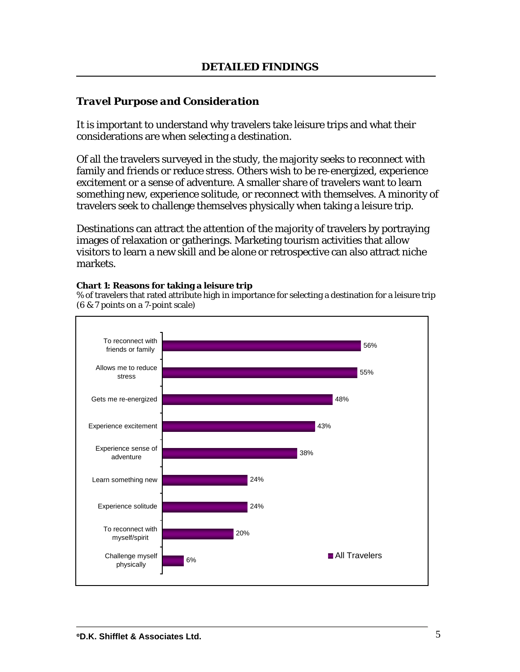### *Travel Purpose and Consideration*

It is important to understand why travelers take leisure trips and what their considerations are when selecting a destination.

Of all the travelers surveyed in the study, the majority seeks to reconnect with family and friends or reduce stress. Others wish to be re-energized, experience excitement or a sense of adventure. A smaller share of travelers want to learn something new, experience solitude, or reconnect with themselves. A minority of travelers seek to challenge themselves physically when taking a leisure trip.

Destinations can attract the attention of the majority of travelers by portraying images of relaxation or gatherings. Marketing tourism activities that allow visitors to learn a new skill and be alone or retrospective can also attract niche markets.

### **Chart 1: Reasons for taking a leisure trip**

% of travelers that rated attribute high in importance for selecting a destination for a leisure trip (6 & 7 points on a 7-point scale)

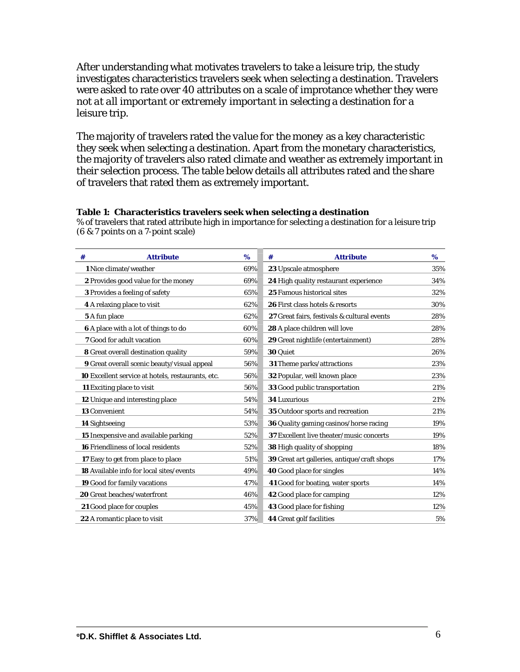After understanding what motivates travelers to take a leisure trip, the study investigates characteristics travelers seek when selecting a destination. Travelers were asked to rate over 40 attributes on a scale of improtance whether they were *not at all important* or *extremely important* in selecting a destination for a leisure trip.

The majority of travelers rated the *value for the money* as a key characteristic they seek when selecting a destination. Apart from the monetary characteristics, the majority of travelers also rated climate and weather as extremely important in their selection process. The table below details all attributes rated and the share of travelers that rated them as extremely important.

#### **Table 1: Characteristics travelers seek when selecting a destination**

% of travelers that rated attribute high in importance for selecting a destination for a leisure trip (6 & 7 points on a 7-point scale)

| <b>Attribute</b><br>#                              | $\%$ | <b>Attribute</b><br>#                              | %   |
|----------------------------------------------------|------|----------------------------------------------------|-----|
| 1 Nice climate/weather                             | 69%  | 23 Upscale atmosphere                              | 35% |
| 2 Provides good value for the money                | 69%  | 24 High quality restaurant experience              | 34% |
| <b>3</b> Provides a feeling of safety              | 65%  | 25 Famous historical sites                         | 32% |
| 4 A relaxing place to visit                        | 62%  | 26 First class hotels & resorts                    | 30% |
| <b>5</b> A fun place                               | 62%  | 27 Great fairs, festivals & cultural events        | 28% |
| <b>6</b> A place with a lot of things to do        | 60%  | 28 A place children will love                      | 28% |
| <b>7</b> Good for adult vacation                   | 60%  | <b>29</b> Great nightlife (entertainment)          | 28% |
| 8 Great overall destination quality                | 59%  | 30 Quiet                                           | 26% |
| <b>9</b> Great overall scenic beauty/visual appeal | 56%  | 31 Theme parks/attractions                         | 23% |
| 10 Excellent service at hotels, restaurants, etc.  | 56%  | <b>32 Popular, well known place</b>                | 23% |
| <b>11</b> Exciting place to visit                  | 56%  | <b>33</b> Good public transportation               | 21% |
| <b>12</b> Unique and interesting place             | 54%  | <b>34 Luxurious</b>                                | 21% |
| <b>13 Convenient</b>                               | 54%  | 35 Outdoor sports and recreation                   | 21% |
| <b>14 Sightseeing</b>                              | 53%  | <b>36</b> Quality gaming casinos/horse racing      | 19% |
| 15 Inexpensive and available parking               | 52%  | 37 Excellent live theater/music concerts           | 19% |
| <b>16 Friendliness of local residents</b>          | 52%  | <b>38</b> High quality of shopping                 | 18% |
| 17 Easy to get from place to place                 | 51%  | <b>39</b> Great art galleries, antique/craft shops | 17% |
| <b>18</b> Available info for local sites/events    | 49%  | <b>40</b> Good place for singles                   | 14% |
| 19 Good for family vacations                       | 47%  | 41 Good for boating, water sports                  | 14% |
| 20 Great beaches/waterfront                        | 46%  | <b>42</b> Good place for camping                   | 12% |
| <b>21</b> Good place for couples                   | 45%  | <b>43</b> Good place for fishing                   | 12% |
| <b>22</b> A romantic place to visit                | 37%  | <b>44</b> Great golf facilities                    | 5%  |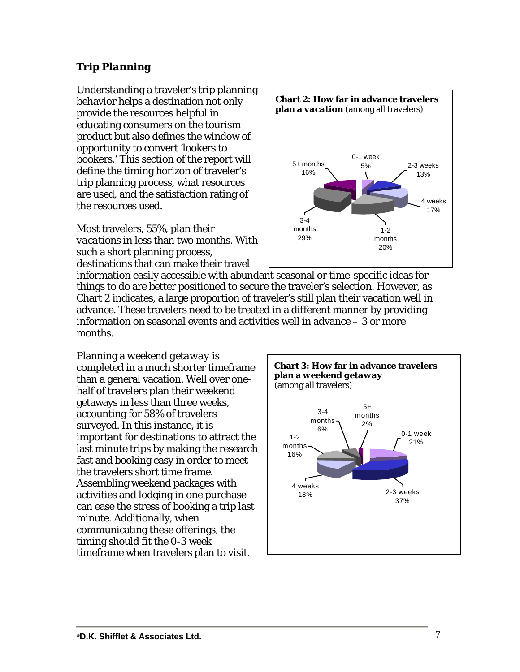# *Trip Planning*

Understanding a traveler's trip planning behavior helps a destination not only provide the resources helpful in educating consumers on the tourism product but also defines the window of opportunity to convert 'lookers to bookers.' This section of the report will define the timing horizon of traveler's trip planning process, what resources are used, and the satisfaction rating of the resources used.

Most travelers, 55%, plan their *vacations* in less than two months. With such a short planning process, destinations that can make their travel



information easily accessible with abundant seasonal or time-specific ideas for things to do are better positioned to secure the traveler's selection. However, as Chart 2 indicates, a large proportion of traveler's still plan their vacation well in advance. These travelers need to be treated in a different manner by providing information on seasonal events and activities well in advance – 3 or more months.

Planning a *weekend getaway* is completed in a much shorter timeframe than a general vacation. Well over onehalf of travelers plan their weekend getaways in less than three weeks, accounting for 58% of travelers surveyed. In this instance, it is important for destinations to attract the last minute trips by making the research fast and booking easy in order to meet the travelers short time frame. Assembling weekend packages with activities and lodging in one purchase can ease the stress of booking a trip last minute. Additionally, when communicating these offerings, the timing should fit the 0-3 week timeframe when travelers plan to visit.

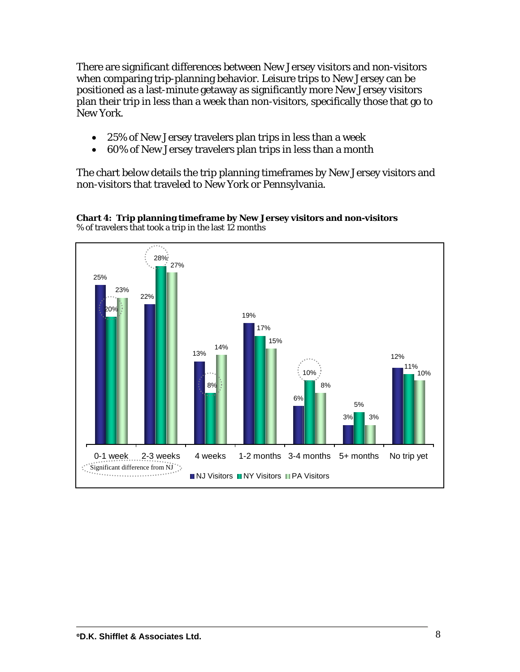There are significant differences between New Jersey visitors and non-visitors when comparing trip-planning behavior. Leisure trips to New Jersey can be positioned as a last-minute getaway as significantly more New Jersey visitors plan their trip in less than a week than non-visitors, specifically those that go to New York.

- 25% of New Jersey travelers plan trips in less than a week
- 60% of New Jersey travelers plan trips in less than a month

The chart below details the trip planning timeframes by New Jersey visitors and non-visitors that traveled to New York or Pennsylvania.



**Chart 4: Trip planning timeframe by New Jersey visitors and non-visitors** % of travelers that took a trip in the last 12 months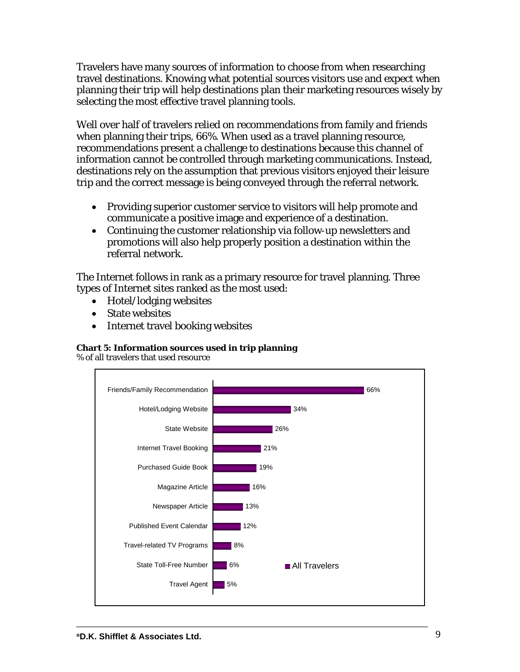Travelers have many sources of information to choose from when researching travel destinations. Knowing what potential sources visitors use and expect when planning their trip will help destinations plan their marketing resources wisely by selecting the most effective travel planning tools.

Well over half of travelers relied on recommendations from family and friends when planning their trips, 66%. When used as a travel planning resource, recommendations present a challenge to destinations because this channel of information cannot be controlled through marketing communications. Instead, destinations rely on the assumption that previous visitors enjoyed their leisure trip and the correct message is being conveyed through the referral network.

- Providing superior customer service to visitors will help promote and communicate a positive image and experience of a destination.
- Continuing the customer relationship via follow-up newsletters and promotions will also help properly position a destination within the referral network.

The Internet follows in rank as a primary resource for travel planning. Three types of Internet sites ranked as the most used:

- Hotel/lodging websites
- State websites
- Internet travel booking websites

### **Chart 5: Information sources used in trip planning**

% of all travelers that used resource

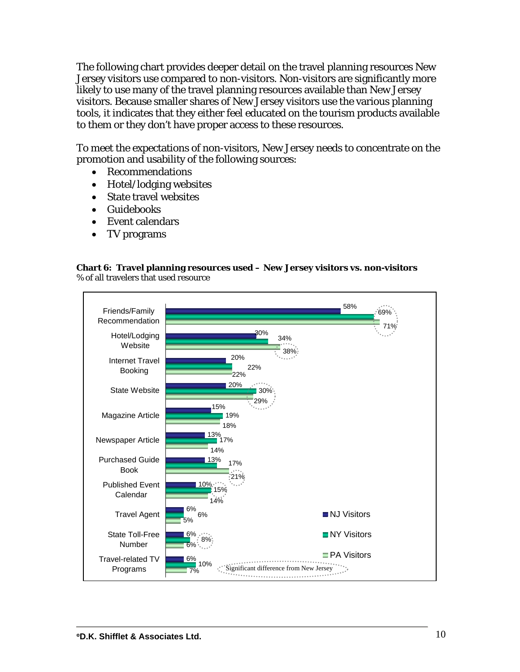The following chart provides deeper detail on the travel planning resources New Jersey visitors use compared to non-visitors. Non-visitors are significantly more likely to use many of the travel planning resources available than New Jersey visitors. Because smaller shares of New Jersey visitors use the various planning tools, it indicates that they either feel educated on the tourism products available to them or they don't have proper access to these resources.

To meet the expectations of non-visitors, New Jersey needs to concentrate on the promotion and usability of the following sources:

- Recommendations
- Hotel/lodging websites
- State travel websites
- Guidebooks
- Event calendars
- TV programs

#### **Chart 6: Travel planning resources used – New Jersey visitors vs. non-visitors**  % of all travelers that used resource

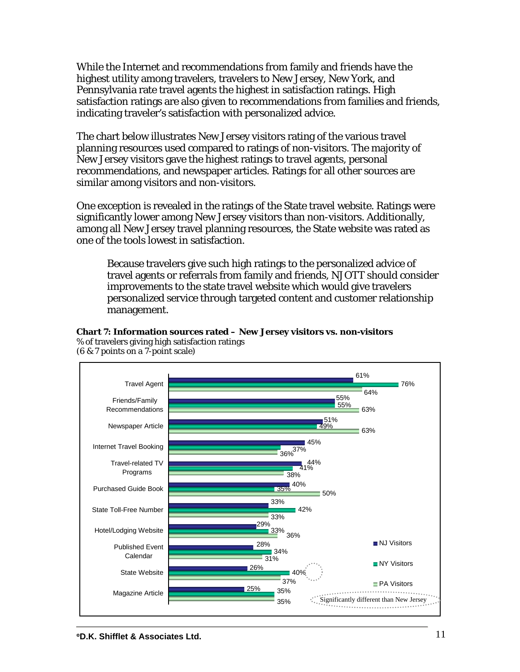While the Internet and recommendations from family and friends have the highest utility among travelers, travelers to New Jersey, New York, and Pennsylvania rate travel agents the highest in satisfaction ratings. High satisfaction ratings are also given to recommendations from families and friends, indicating traveler's satisfaction with personalized advice.

The chart below illustrates New Jersey visitors rating of the various travel planning resources used compared to ratings of non-visitors. The majority of New Jersey visitors gave the highest ratings to travel agents, personal recommendations, and newspaper articles. Ratings for all other sources are similar among visitors and non-visitors.

One exception is revealed in the ratings of the State travel website. Ratings were significantly lower among New Jersey visitors than non-visitors. Additionally, among all New Jersey travel planning resources, the State website was rated as one of the tools lowest in satisfaction.

**Chart 7: Information sources rated – New Jersey visitors vs. non-visitors** 

Because travelers give such high ratings to the personalized advice of travel agents or referrals from family and friends, NJOTT should consider improvements to the state travel website which would give travelers personalized service through targeted content and customer relationship management.



% of travelers giving high satisfaction ratings (6 & 7 points on a 7-point scale)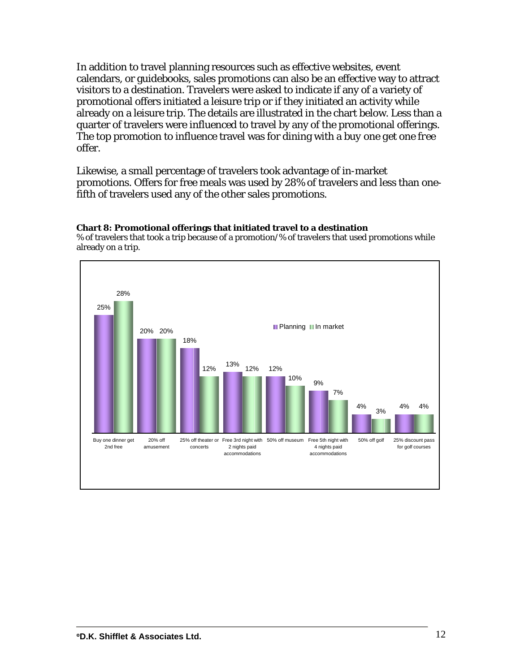In addition to travel planning resources such as effective websites, event calendars, or guidebooks, sales promotions can also be an effective way to attract visitors to a destination. Travelers were asked to indicate if any of a variety of promotional offers initiated a leisure trip or if they initiated an activity while already on a leisure trip. The details are illustrated in the chart below. Less than a quarter of travelers were *influenced* to travel by any of the promotional offerings. The top promotion to influence travel was for dining with a *buy one get one free* offer.

Likewise, a small percentage of travelers took advantage of in-market promotions. Offers for free meals was used by 28% of travelers and less than onefifth of travelers used any of the other sales promotions.

### **Chart 8: Promotional offerings that initiated travel to a destination**

% of travelers that took a trip because of a promotion/% of travelers that used promotions while already on a trip.

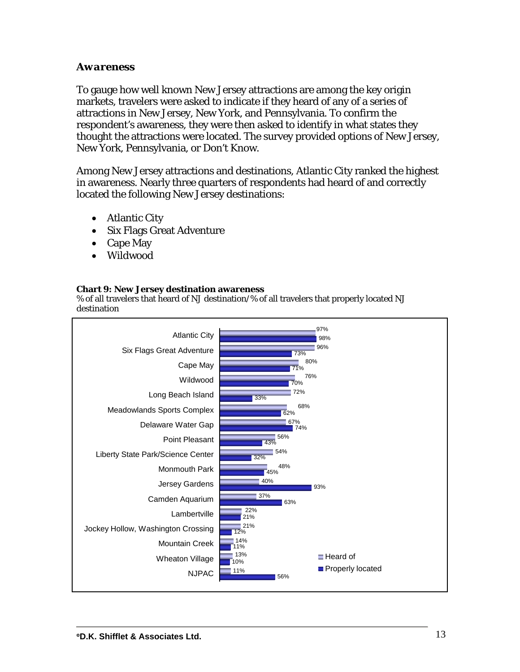### *Awareness*

To gauge how well known New Jersey attractions are among the key origin markets, travelers were asked to indicate if they heard of any of a series of attractions in New Jersey, New York, and Pennsylvania. To confirm the respondent's awareness, they were then asked to identify in what states they thought the attractions were located. The survey provided options of New Jersey, New York, Pennsylvania, or Don't Know.

Among New Jersey attractions and destinations, Atlantic City ranked the highest in awareness. Nearly three quarters of respondents had heard of and correctly located the following New Jersey destinations:

- Atlantic City
- Six Flags Great Adventure
- Cape May
- Wildwood

### **Chart 9: New Jersey destination awareness**

% of all travelers that heard of NJ destination/% of all travelers that properly located NJ destination

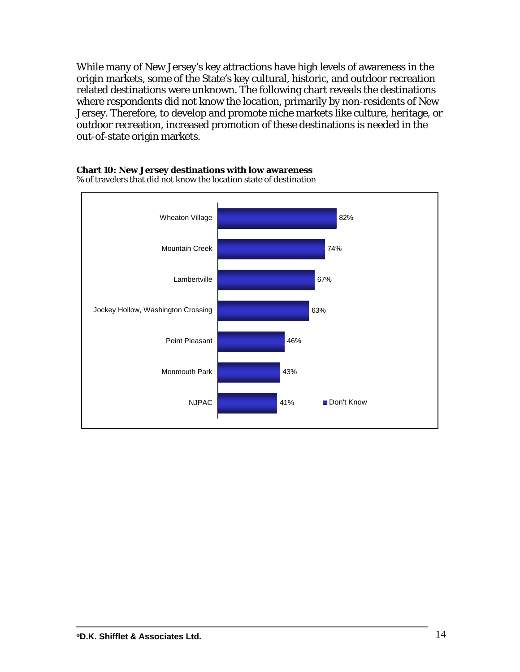While many of New Jersey's key attractions have high levels of awareness in the origin markets, some of the State's key cultural, historic, and outdoor recreation related destinations were unknown. The following chart reveals the destinations where respondents did not know the location, primarily by non-residents of New Jersey. Therefore, to develop and promote niche markets like culture, heritage, or outdoor recreation, increased promotion of these destinations is needed in the out-of-state origin markets.



% of travelers that did not know the location state of destination

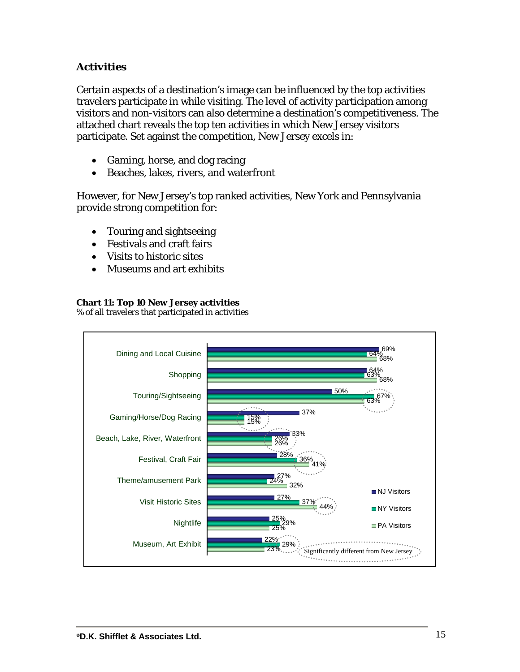# *Activities*

Certain aspects of a destination's image can be influenced by the top activities travelers participate in while visiting. The level of activity participation among visitors and non-visitors can also determine a destination's competitiveness. The attached chart reveals the top ten activities in which New Jersey visitors participate. Set against the competition, New Jersey excels in:

- Gaming, horse, and dog racing
- Beaches, lakes, rivers, and waterfront

However, for New Jersey's top ranked activities, New York and Pennsylvania provide strong competition for:

- Touring and sightseeing
- Festivals and craft fairs
- Visits to historic sites
- Museums and art exhibits

### **Chart 11: Top 10 New Jersey activities**

% of all travelers that participated in activities

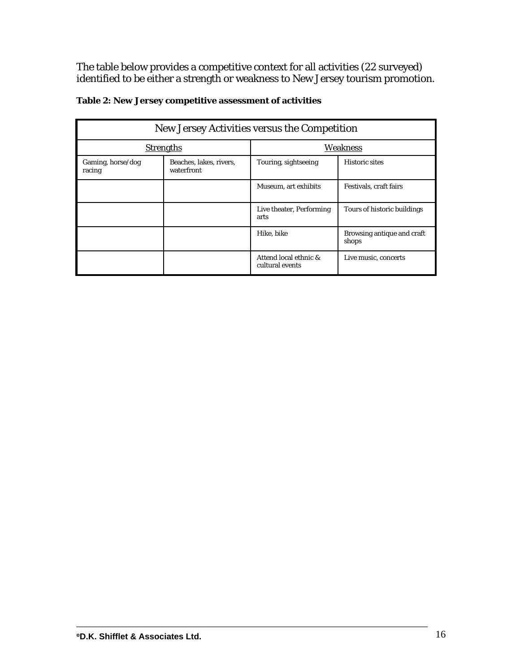The table below provides a competitive context for all activities (22 surveyed) identified to be either a strength or weakness to New Jersey tourism promotion.

| New Jersey Activities versus the Competition                         |                  |                                          |                                     |  |  |
|----------------------------------------------------------------------|------------------|------------------------------------------|-------------------------------------|--|--|
|                                                                      | <b>Strengths</b> |                                          | Weakness                            |  |  |
| Gaming, horse/dog<br>Beaches, lakes, rivers,<br>waterfront<br>racing |                  | Touring, sightseeing                     | <b>Historic sites</b>               |  |  |
|                                                                      |                  | Museum, art exhibits                     | Festivals, craft fairs              |  |  |
|                                                                      |                  | Live theater, Performing<br>arts         | Tours of historic buildings         |  |  |
|                                                                      |                  | Hike, bike                               | Browsing antique and craft<br>shops |  |  |
|                                                                      |                  | Attend local ethnic &<br>cultural events | Live music, concerts                |  |  |

### **Table 2: New Jersey competitive assessment of activities**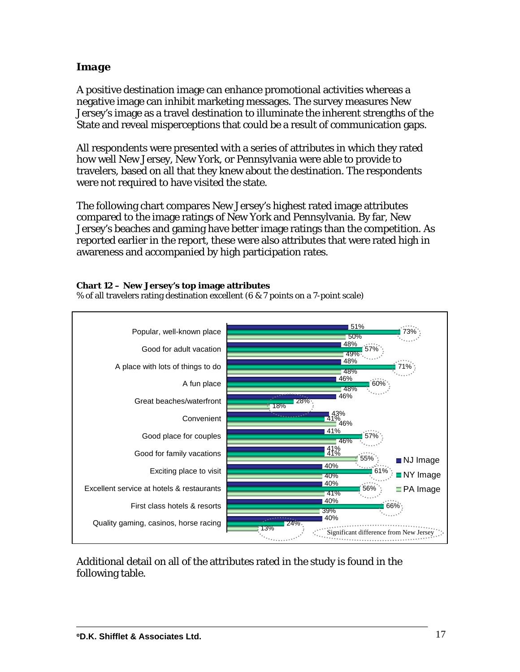# *Image*

A positive destination image can enhance promotional activities whereas a negative image can inhibit marketing messages. The survey measures New Jersey's image as a travel destination to illuminate the inherent strengths of the State and reveal misperceptions that could be a result of communication gaps.

All respondents were presented with a series of attributes in which they rated how well New Jersey, New York, or Pennsylvania were able to provide to travelers, based on all that they knew about the destination. The respondents were not required to have visited the state.

The following chart compares New Jersey's highest rated image attributes compared to the image ratings of New York and Pennsylvania. By far, New Jersey's beaches and gaming have better image ratings than the competition. As reported earlier in the report, these were also attributes that were rated high in awareness and accompanied by high participation rates.

### **Chart 12 – New Jersey's top image attributes**

% of all travelers rating destination excellent (6 & 7 points on a 7-point scale)



Additional detail on all of the attributes rated in the study is found in the following table.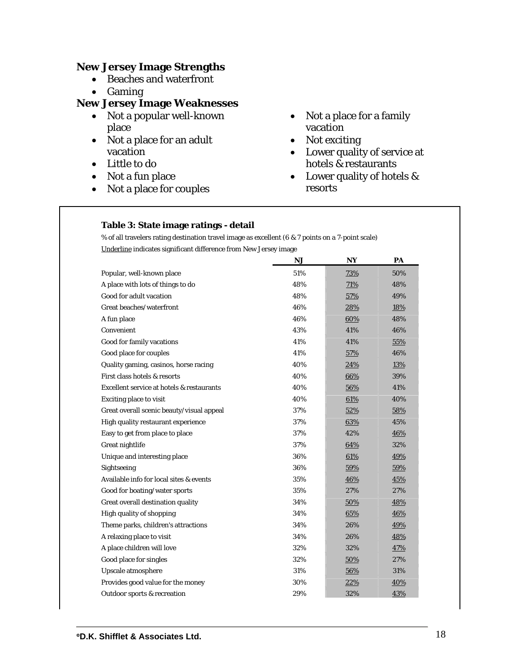### **New Jersey Image Strengths**

- Beaches and waterfront
- Gaming

# **New Jersey Image Weaknesses**

- Not a popular well-known place
- Not a place for an adult vacation
- Little to do
- Not a fun place
- Not a place for couples
- Not a place for a family vacation
- Not exciting
- Lower quality of service at hotels & restaurants
- Lower quality of hotels & resorts

#### **Table 3: State image ratings - detail**

 % of all travelers rating destination travel image as excellent (6 & 7 points on a 7-point scale) Underline indicates significant difference from New Jersey image

|                                           | <b>NJ</b> | <b>NY</b> | PA  |
|-------------------------------------------|-----------|-----------|-----|
| Popular, well-known place                 | 51%       | 73%       | 50% |
| A place with lots of things to do         | 48%       | 71%       | 48% |
| Good for adult vacation                   | 48%       | 57%       | 49% |
| Great beaches/waterfront                  | 46%       | 28%       | 18% |
| A fun place                               | 46%       | 60%       | 48% |
| Convenient                                | 43%       | 41%       | 46% |
| Good for family vacations                 | 41%       | 41%       | 55% |
| Good place for couples                    | 41%       | 57%       | 46% |
| Quality gaming, casinos, horse racing     | 40%       | 24%       | 13% |
| First class hotels & resorts              | 40%       | 66%       | 39% |
| Excellent service at hotels & restaurants | 40%       | 56%       | 41% |
| <b>Exciting place to visit</b>            | 40%       | 61%       | 40% |
| Great overall scenic beauty/visual appeal | 37%       | 52%       | 58% |
| High quality restaurant experience        | 37%       | 63%       | 45% |
| Easy to get from place to place           | 37%       | 42%       | 46% |
| Great nightlife                           | 37%       | 64%       | 32% |
| Unique and interesting place              | 36%       | 61%       | 49% |
| Sightseeing                               | 36%       | 59%       | 59% |
| Available info for local sites & events   | 35%       | 46%       | 45% |
| Good for boating/water sports             | 35%       | 27%       | 27% |
| Great overall destination quality         | 34%       | 50%       | 48% |
| High quality of shopping                  | 34%       | 65%       | 46% |
| Theme parks, children's attractions       | 34%       | 26%       | 49% |
| A relaxing place to visit                 | 34%       | 26%       | 48% |
| A place children will love                | 32%       | 32%       | 47% |
| Good place for singles                    | 32%       | 50%       | 27% |
| Upscale atmosphere                        | 31%       | 56%       | 31% |
| Provides good value for the money         | 30%       | 22%       | 40% |
| Outdoor sports & recreation               | 29%       | 32%       | 43% |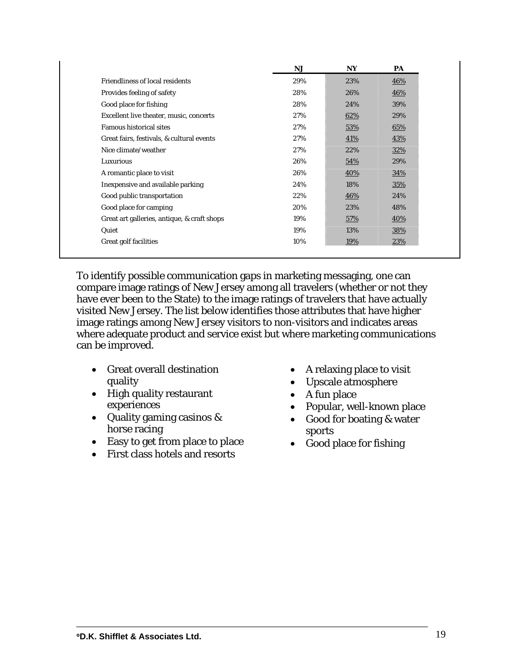|                                             | <b>NJ</b> | <b>NY</b>  | PA  |
|---------------------------------------------|-----------|------------|-----|
| <b>Friendliness of local residents</b>      | 29%       | 23%        | 46% |
| Provides feeling of safety                  | 28%       | 26%        | 46% |
| Good place for fishing                      | 28%       | 24%        | 39% |
| Excellent live theater, music, concerts     | 27%       | 62%        | 29% |
| <b>Famous historical sites</b>              | 27%       | 53%        | 65% |
| Great fairs, festivals, & cultural events   | 27%       | 41%        | 43% |
| Nice climate/weather                        | 27%       | 22%        | 32% |
| Luxurious                                   | 26%       | 54%        | 29% |
| A romantic place to visit                   | 26%       | 40%        | 34% |
| Inexpensive and available parking           | 24%       | 18%        | 35% |
| Good public transportation                  | 22%       | <b>46%</b> | 24% |
| Good place for camping                      | 20%       | 23%        | 48% |
| Great art galleries, antique, & craft shops | 19%       | 57%        | 40% |
| Quiet                                       | 19%       | 13%        | 38% |
| <b>Great golf facilities</b>                | 10%       | 19%        | 23% |

To identify possible communication gaps in marketing messaging, one can compare image ratings of New Jersey among all travelers (whether or not they have ever been to the State) to the image ratings of travelers that have actually visited New Jersey. The list below identifies those attributes that have higher image ratings among New Jersey visitors to non-visitors and indicates areas where adequate product and service exist but where marketing communications can be improved.

- Great overall destination quality
- High quality restaurant experiences
- Quality gaming casinos & horse racing
- Easy to get from place to place
- First class hotels and resorts
- A relaxing place to visit
- Upscale atmosphere
- A fun place
- Popular, well-known place
- Good for boating & water sports
- Good place for fishing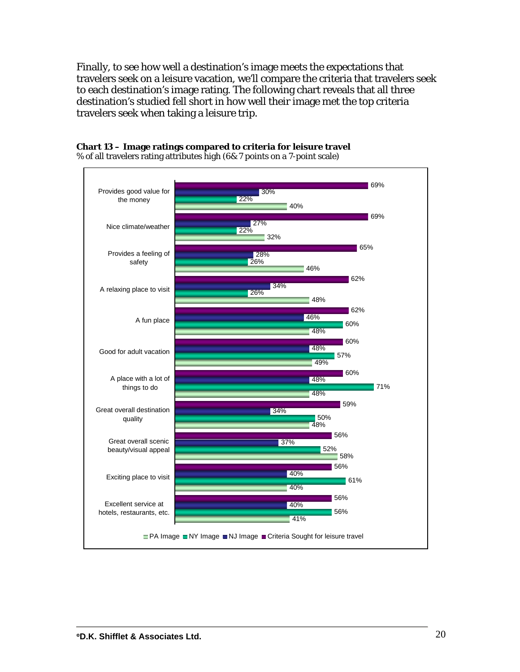Finally, to see how well a destination's image meets the expectations that travelers seek on a leisure vacation, we'll compare the criteria that travelers seek to each destination's image rating. The following chart reveals that all three destination's studied fell short in how well their image met the top criteria travelers seek when taking a leisure trip.



#### **Chart 13 – Image ratings compared to criteria for leisure travel**  % of all travelers rating attributes high (6& 7 points on a 7-point scale)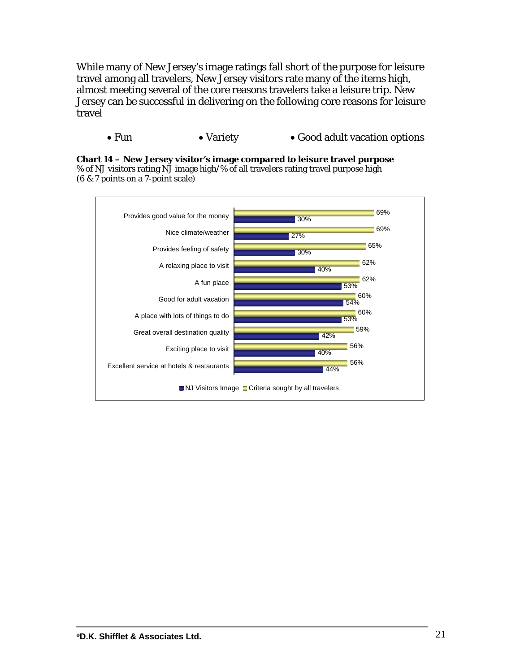While many of New Jersey's image ratings fall short of the purpose for leisure travel among all travelers, New Jersey visitors rate many of the items high, almost meeting several of the core reasons travelers take a leisure trip. New Jersey can be successful in delivering on the following core reasons for leisure travel

• Fun • Variety • Good adult vacation options



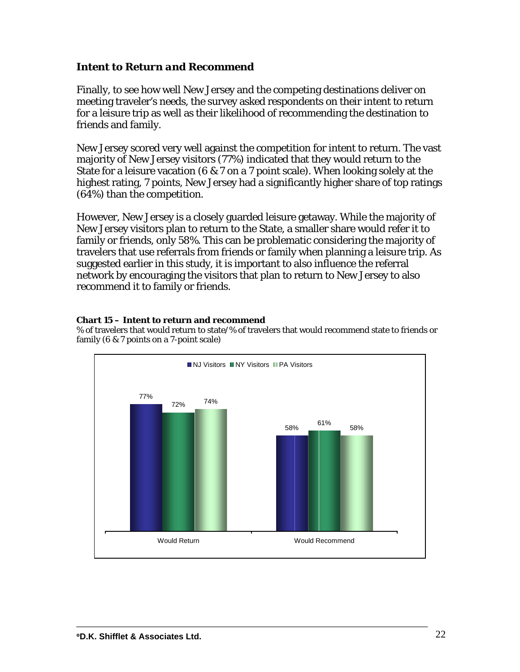### *Intent to Return and Recommend*

Finally, to see how well New Jersey and the competing destinations deliver on meeting traveler's needs, the survey asked respondents on their intent to return for a leisure trip as well as their likelihood of recommending the destination to friends and family.

New Jersey scored very well against the competition for intent to return. The vast majority of New Jersey visitors (77%) indicated that they would return to the State for a leisure vacation (6 & 7 on a 7 point scale). When looking solely at the highest rating, 7 points, New Jersey had a significantly higher share of top ratings (64%) than the competition.

However, New Jersey is a closely guarded leisure getaway. While the majority of New Jersey visitors plan to return to the State, a smaller share would refer it to family or friends, only 58%. This can be problematic considering the majority of travelers that use referrals from friends or family when planning a leisure trip. As suggested earlier in this study, it is important to also influence the referral network by encouraging the visitors that plan to return to New Jersey to also recommend it to family or friends.

### **Chart 15 – Intent to return and recommend**

% of travelers that would return to state/% of travelers that would recommend state to friends or family (6 & 7 points on a 7-point scale)

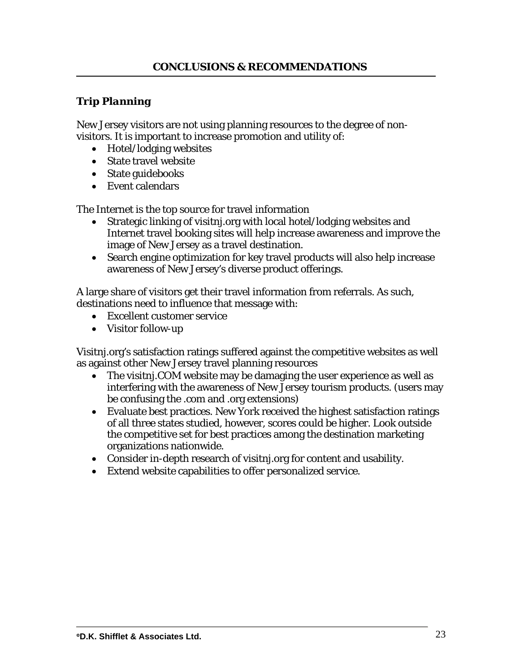# *Trip Planning*

New Jersey visitors are not using planning resources to the degree of nonvisitors. It is important to increase promotion and utility of:

- Hotel/lodging websites
- State travel website
- State guidebooks
- Event calendars

The Internet is the top source for travel information

- Strategic linking of visitnj.org with local hotel/lodging websites and Internet travel booking sites will help increase awareness and improve the image of New Jersey as a travel destination.
- Search engine optimization for key travel products will also help increase awareness of New Jersey's diverse product offerings.

A large share of visitors get their travel information from referrals. As such, destinations need to influence that message with:

- Excellent customer service
- Visitor follow-up

Visitnj.org's satisfaction ratings suffered against the competitive websites as well as against other New Jersey travel planning resources

- The visitnj. COM website may be damaging the user experience as well as interfering with the awareness of New Jersey tourism products. (users may be confusing the .com and .org extensions)
- Evaluate best practices. New York received the highest satisfaction ratings of all three states studied, however, scores could be higher. Look outside the competitive set for best practices among the destination marketing organizations nationwide.
- Consider in-depth research of visitnj.org for content and usability.
- Extend website capabilities to offer personalized service.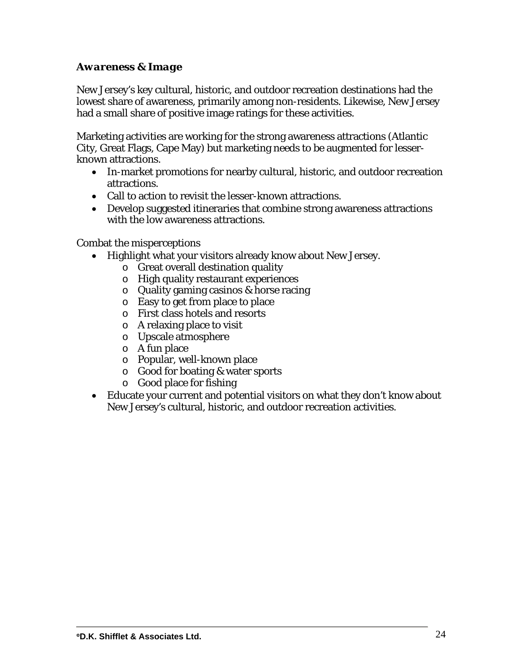## *Awareness & Image*

New Jersey's key cultural, historic, and outdoor recreation destinations had the lowest share of awareness, primarily among non-residents. Likewise, New Jersey had a small share of positive image ratings for these activities.

Marketing activities are working for the strong awareness attractions (Atlantic City, Great Flags, Cape May) but marketing needs to be augmented for lesserknown attractions.

- In-market promotions for nearby cultural, historic, and outdoor recreation attractions.
- Call to action to revisit the lesser-known attractions.
- Develop suggested itineraries that combine strong awareness attractions with the low awareness attractions.

Combat the misperceptions

- Highlight what your visitors already know about New Jersey.
	- o Great overall destination quality
	- o High quality restaurant experiences
	- o Quality gaming casinos & horse racing
	- o Easy to get from place to place
	- o First class hotels and resorts
	- o A relaxing place to visit
	- o Upscale atmosphere
	- o A fun place
	- o Popular, well-known place
	- o Good for boating & water sports
	- o Good place for fishing
- Educate your current and potential visitors on what they don't know about New Jersey's cultural, historic, and outdoor recreation activities.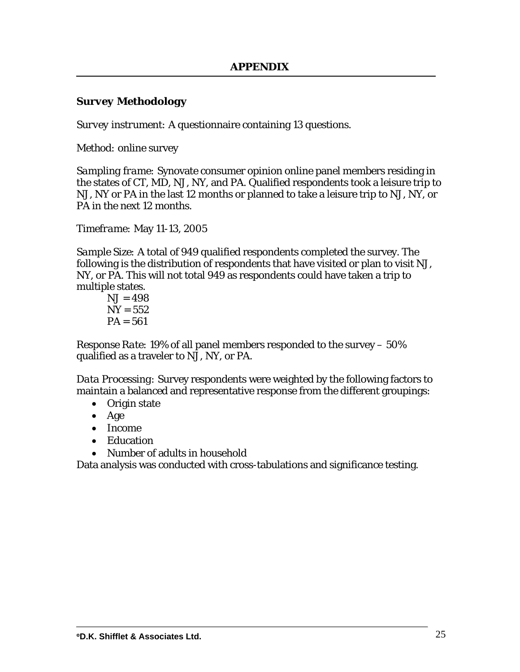### *Survey Methodology*

*Survey instrument:* A questionnaire containing 13 questions.

*Method:* online survey

*Sampling frame:* Synovate consumer opinion online panel members residing in the states of CT, MD, NJ, NY, and PA. Qualified respondents took a leisure trip to NJ, NY or PA in the last 12 months or planned to take a leisure trip to NJ, NY, or PA in the next 12 months.

*Timeframe:* May 11-13, 2005

*Sample Size:* A total of 949 qualified respondents completed the survey. The following is the distribution of respondents that have visited or plan to visit NJ, NY, or PA. This will not total 949 as respondents could have taken a trip to multiple states.

 $N_{\rm J} = 498$  $NY = 552$  $PA = 561$ 

*Response Rate:* 19% of all panel members responded to the survey – 50% qualified as a traveler to NJ, NY, or PA.

*Data Processing:* Survey respondents were weighted by the following factors to maintain a balanced and representative response from the different groupings:

- Origin state
- Age
- Income
- Education
- Number of adults in household

Data analysis was conducted with cross-tabulations and significance testing.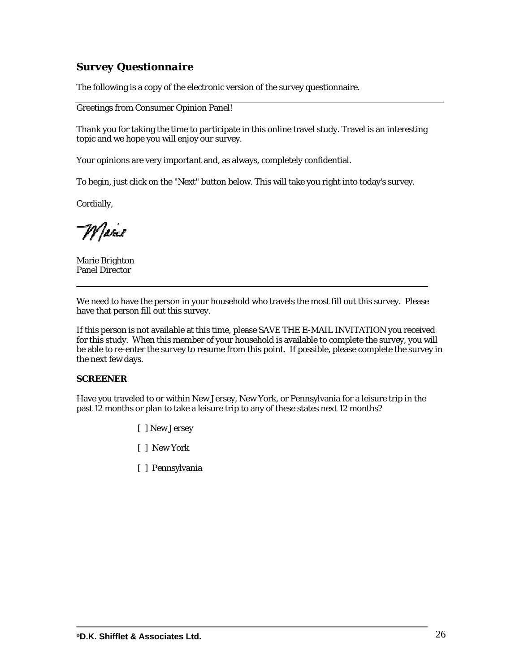## *Survey Questionnaire*

The following is a copy of the electronic version of the survey questionnaire.

Greetings from Consumer Opinion Panel!

Thank you for taking the time to participate in this online travel study. Travel is an interesting topic and we hope you will enjoy our survey.

Your opinions are very important and, as always, completely confidential.

To begin, just click on the "Next" button below. This will take you right into today's survey.

Cordially,

W |ane

Marie Brighton Panel Director

We need to have the person in your household who travels the most fill out this survey. Please have that person fill out this survey.

If this person is not available at this time, please SAVE THE E-MAIL INVITATION you received for this study. When this member of your household is available to complete the survey, you will be able to re-enter the survey to resume from this point. If possible, please complete the survey in the next few days.

#### **SCREENER**

Have you traveled to or within New Jersey, New York, or Pennsylvania for a leisure trip in the past 12 months or plan to take a leisure trip to any of these states next 12 months?

- [ ] New Jersey
- [ ] New York
- [ ] Pennsylvania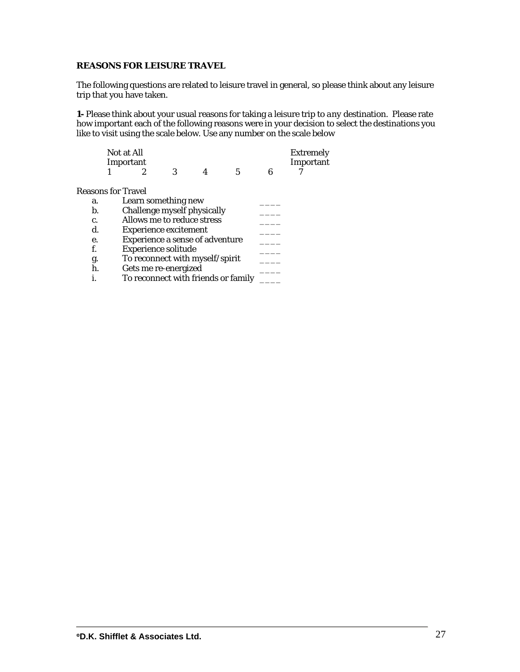### **REASONS FOR LEISURE TRAVEL**

The following questions are related to leisure travel in general, so please think about any leisure trip that you have taken.

**1-** Please think about your usual reasons for taking a leisure trip to *any* destination. Please rate how important each of the following reasons were in your decision to select the destinations you like to visit using the scale below. Use any number on the scale below

|                           | Not at All<br>Important                |   |   |                                     |   | <b>Extremely</b><br>Important |
|---------------------------|----------------------------------------|---|---|-------------------------------------|---|-------------------------------|
|                           | 2                                      | 3 | 4 | 5                                   | в |                               |
| <b>Reasons for Travel</b> |                                        |   |   |                                     |   |                               |
| a.                        | Learn something new                    |   |   |                                     |   |                               |
| b.                        | Challenge myself physically            |   |   |                                     |   |                               |
| c.                        | Allows me to reduce stress             |   |   |                                     |   |                               |
| d.                        | <b>Experience excitement</b>           |   |   |                                     |   |                               |
| е.                        | <b>Experience a sense of adventure</b> |   |   |                                     |   |                               |
| f.                        | <b>Experience solitude</b>             |   |   |                                     |   |                               |
| g.                        | To reconnect with myself/spirit        |   |   |                                     |   |                               |
| h.                        | Gets me re-energized                   |   |   |                                     |   |                               |
|                           |                                        |   |   | To reconnect with friends or family |   |                               |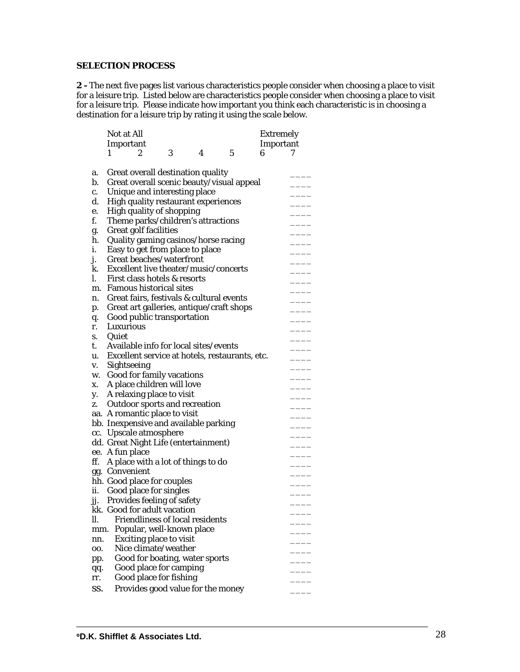### **SELECTION PROCESS**

**2 -** The next five pages list various characteristics people consider when choosing a place to visit for a leisure trip. Listed below are characteristics people consider when choosing a place to visit for a leisure trip. Please indicate how important you think each characteristic is in choosing a destination for a leisure trip by rating it using the scale below.

|     | <b>Not at All</b> |                                  |   |                                          |                                                | <b>Extremely</b> |   |
|-----|-------------------|----------------------------------|---|------------------------------------------|------------------------------------------------|------------------|---|
|     | Important         |                                  |   |                                          |                                                | Important        |   |
|     | 1                 | $\overline{2}$                   | 3 | 4                                        | 5                                              | 6                | 7 |
|     |                   |                                  |   |                                          |                                                |                  |   |
| a.  |                   |                                  |   | Great overall destination quality        |                                                |                  |   |
| b.  |                   |                                  |   |                                          | Great overall scenic beauty/visual appeal      |                  |   |
| c.  |                   | Unique and interesting place     |   |                                          |                                                |                  |   |
| d.  |                   |                                  |   | High quality restaurant experiences      |                                                |                  |   |
| e.  |                   | High quality of shopping         |   |                                          |                                                |                  |   |
| f.  |                   |                                  |   | Theme parks/children's attractions       |                                                |                  |   |
| g.  |                   | <b>Great golf facilities</b>     |   |                                          |                                                |                  |   |
| h.  |                   |                                  |   | Quality gaming casinos/horse racing      |                                                |                  |   |
| i.  |                   |                                  |   | Easy to get from place to place          |                                                |                  |   |
| j.  |                   | Great beaches/waterfront         |   |                                          |                                                |                  |   |
| k.  |                   |                                  |   | Excellent live theater/music/concerts    |                                                |                  |   |
| I.  |                   | First class hotels & resorts     |   |                                          |                                                |                  |   |
| m.  |                   | <b>Famous historical sites</b>   |   |                                          |                                                |                  |   |
| n.  |                   |                                  |   | Great fairs, festivals & cultural events |                                                |                  |   |
| p.  |                   |                                  |   |                                          | Great art galleries, antique/craft shops       |                  |   |
| q.  |                   | Good public transportation       |   |                                          |                                                |                  |   |
| r.  | Luxurious         |                                  |   |                                          |                                                |                  |   |
| S.  | Quiet             |                                  |   |                                          |                                                |                  |   |
| t.  |                   |                                  |   | Available info for local sites/events    |                                                |                  |   |
| u.  |                   |                                  |   |                                          | Excellent service at hotels, restaurants, etc. |                  |   |
| v.  |                   | Sightseeing                      |   |                                          |                                                |                  |   |
| W.  |                   | <b>Good for family vacations</b> |   |                                          |                                                |                  |   |
| X.  |                   | A place children will love       |   |                                          |                                                |                  |   |
| y.  |                   | A relaxing place to visit        |   |                                          |                                                |                  |   |
| Z.  |                   |                                  |   | <b>Outdoor sports and recreation</b>     |                                                |                  |   |
|     |                   | aa. A romantic place to visit    |   |                                          |                                                |                  |   |
|     |                   |                                  |   | bb. Inexpensive and available parking    |                                                |                  |   |
|     |                   | cc. Upscale atmosphere           |   |                                          |                                                |                  |   |
|     |                   |                                  |   | dd. Great Night Life (entertainment)     |                                                |                  |   |
|     | ee. A fun place   |                                  |   |                                          |                                                |                  |   |
| ff. |                   |                                  |   | A place with a lot of things to do       |                                                |                  |   |
|     | gg. Convenient    |                                  |   |                                          |                                                |                  |   |
|     |                   | hh. Good place for couples       |   |                                          |                                                |                  |   |
|     |                   | ii. Good place for singles       |   |                                          |                                                |                  |   |
|     |                   | jj. Provides feeling of safety   |   |                                          |                                                |                  |   |
|     |                   | kk. Good for adult vacation      |   |                                          |                                                |                  |   |
| ll. |                   |                                  |   | <b>Friendliness of local residents</b>   |                                                |                  |   |
|     | mm.               | Popular, well-known place        |   |                                          |                                                |                  |   |
| nn. |                   | <b>Exciting place to visit</b>   |   |                                          |                                                |                  |   |
| 00. |                   | Nice climate/weather             |   |                                          |                                                |                  |   |
| pp. |                   |                                  |   | Good for boating, water sports           |                                                |                  |   |
| qq. |                   | Good place for camping           |   |                                          |                                                |                  |   |
| rr. |                   | Good place for fishing           |   |                                          |                                                |                  |   |
| SS. |                   |                                  |   | Provides good value for the money        |                                                |                  |   |
|     |                   |                                  |   |                                          |                                                |                  |   |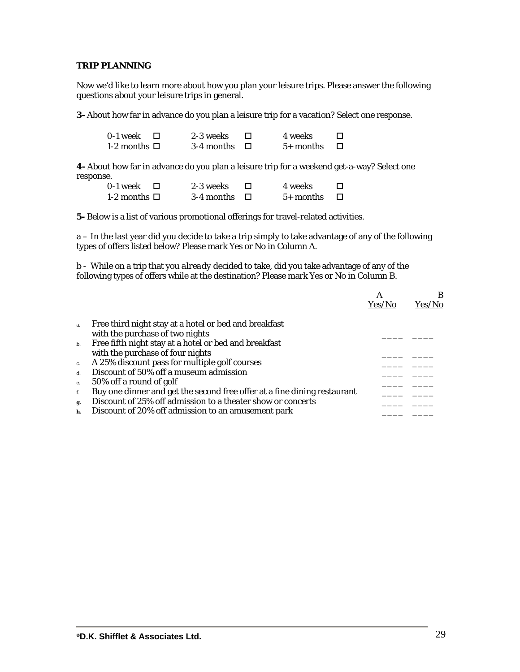### **TRIP PLANNING**

Now we'd like to learn more about how you plan your leisure trips. Please answer the following questions about your leisure trips in general.

**3-** About how far in advance do you plan a leisure trip for a vacation? Select one response.

| 0-1 week          | 2-3 weeks         | 4 weeks     |  |
|-------------------|-------------------|-------------|--|
| 1-2 months $\Box$ | 3-4 months $\Box$ | $5+$ months |  |

**4-** About how far in advance do you plan a leisure trip for a weekend get-a-way? Select one response.

| 0-1 week          | 2-3 weeks         | 4 weeks     |  |
|-------------------|-------------------|-------------|--|
| 1-2 months $\Box$ | 3-4 months $\Box$ | $5+$ months |  |

**5-** Below is a list of various promotional offerings for travel-related activities.

a – In the last year did you decide to take a trip simply to take advantage of any of the following types of offers listed below? Please mark Yes or No in Column A.

b - While on a trip that you *already* decided to take, did you take advantage of any of the following types of offers while at the destination? Please mark Yes or No in Column B.

|                |                                                                          | А      | В      |
|----------------|--------------------------------------------------------------------------|--------|--------|
|                |                                                                          | Yes/No | Yes/No |
|                |                                                                          |        |        |
| a.             | Free third night stay at a hotel or bed and breakfast                    |        |        |
|                | with the purchase of two nights                                          |        |        |
| $\mathbf{b}$ . | Free fifth night stay at a hotel or bed and breakfast                    |        |        |
|                | with the purchase of four nights                                         |        |        |
| $\mathbf{c}$ . | A 25% discount pass for multiple golf courses                            |        |        |
| $\mathbf{d}$ . | Discount of 50% off a museum admission                                   |        |        |
| e.             | 50% off a round of golf                                                  |        |        |
| f.             | Buy one dinner and get the second free offer at a fine dining restaurant |        |        |
| g.             | Discount of 25% off admission to a theater show or concerts              |        |        |
| h.             | Discount of 20% off admission to an amusement park                       |        |        |
|                |                                                                          |        |        |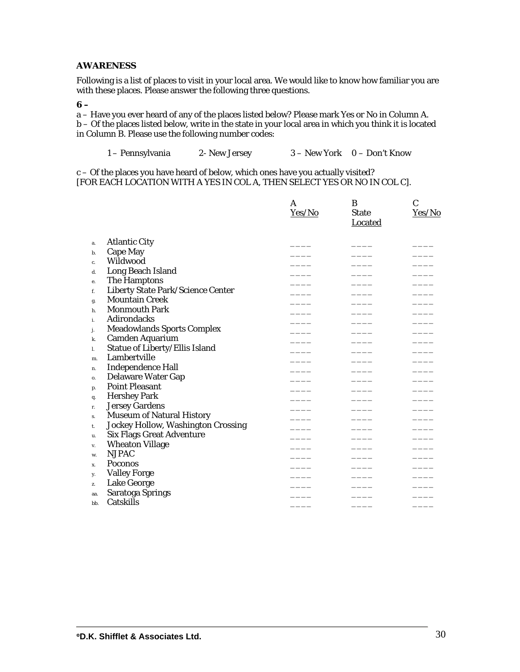### **AWARENESS**

Following is a list of places to visit in your local area. We would like to know how familiar you are with these places. Please answer the following three questions.

### **6 –**

a – Have you ever heard of any of the places listed below? Please mark Yes or No in Column A. b – Of the places listed below, write in the state in your local area in which you think it is located in Column B. Please use the following number codes:

1 – Pennsylvania 2- New Jersey 3 – New York 0 – Don't Know

c – Of the places you have heard of below, which ones have you actually visited? [FOR EACH LOCATION WITH A YES IN COL A, THEN SELECT YES OR NO IN COL C].

|     |                                          | A      | B                              | $\mathbf C$ |
|-----|------------------------------------------|--------|--------------------------------|-------------|
|     |                                          | Yes/No | <b>State</b><br><b>Located</b> | Yes/No      |
| a.  | <b>Atlantic City</b>                     |        |                                |             |
| b.  | <b>Cape May</b>                          |        |                                |             |
| c.  | Wildwood                                 |        |                                |             |
| d.  | Long Beach Island                        |        |                                |             |
| e.  | The Hamptons                             |        |                                |             |
| f.  | <b>Liberty State Park/Science Center</b> |        |                                |             |
| g.  | <b>Mountain Creek</b>                    |        |                                |             |
| h.  | <b>Monmouth Park</b>                     |        |                                |             |
| i.  | <b>Adirondacks</b>                       |        |                                |             |
| j.  | <b>Meadowlands Sports Complex</b>        |        |                                |             |
| k.  | Camden Aquarium                          |        |                                |             |
| 1.  | Statue of Liberty/Ellis Island           |        |                                |             |
| m.  | Lambertville                             |        |                                |             |
| n.  | <b>Independence Hall</b>                 |        |                                |             |
| 0.  | <b>Delaware Water Gap</b>                |        |                                |             |
| p.  | <b>Point Pleasant</b>                    |        |                                |             |
| q.  | <b>Hershey Park</b>                      |        |                                |             |
| r.  | <b>Jersey Gardens</b>                    |        |                                |             |
| S.  | <b>Museum of Natural History</b>         |        |                                |             |
| t.  | Jockey Hollow, Washington Crossing       |        |                                |             |
| u.  | <b>Six Flags Great Adventure</b>         |        |                                |             |
| v.  | <b>Wheaton Village</b>                   |        |                                |             |
| W.  | <b>NJPAC</b>                             |        |                                |             |
| X.  | <b>Poconos</b>                           |        |                                |             |
| у.  | <b>Valley Forge</b>                      |        |                                |             |
| z.  | Lake George                              |        |                                |             |
| aa. | Saratoga Springs                         |        |                                |             |
| bb. | Catskills                                |        |                                |             |
|     |                                          |        |                                |             |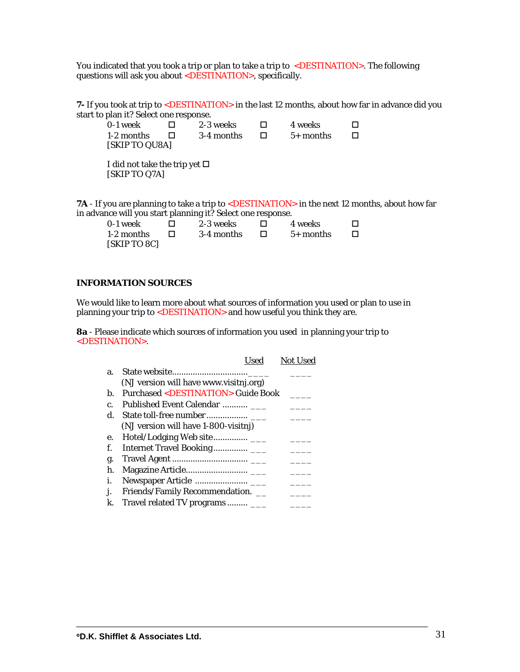You indicated that you took a trip or plan to take a trip to <DESTINATION>. The following questions will ask you about  $\leq$ DESTINATION>, specifically.

**7**- If you took at trip to <DESTINATION> in the last 12 months, about how far in advance did you start to plan it? Select one response.

| 0-1 week                           | 2-3 weeks  | 4 weeks     | . . |
|------------------------------------|------------|-------------|-----|
| 1-2 months<br>[SKIP TO QU8A]       | 3-4 months | $5+$ months | ப   |
| I did not take the trip yet $\Box$ |            |             |     |

[SKIP TO Q7A]

7A - If you are planning to take a trip to <DESTINATION> in the next 12 months, about how far in advance will you start planning it? Select one response.

| 0-1 week     | 2-3 weeks  | 4 weeks     |  |
|--------------|------------|-------------|--|
| 1-2 months   | 3-4 months | $5+$ months |  |
| [SKIP TO 8C] |            |             |  |

#### **INFORMATION SOURCES**

We would like to learn more about what sources of information you used or plan to use in planning your trip to <DESTINATION> and how useful you think they are.

**8a** - Please indicate which sources of information you used in planning your trip to <DESTINATION>.

|              | Used                                                    | <b>Not Used</b> |
|--------------|---------------------------------------------------------|-----------------|
| a.           |                                                         |                 |
|              | (NJ version will have www.visitnj.org)                  |                 |
| b.           | <b>Purchased <destination> Guide Book</destination></b> |                 |
| $\mathbf{C}$ | Published Event Calendar                                |                 |
| d.           |                                                         |                 |
|              | (NJ version will have 1-800-visitnj)                    |                 |
| е.           |                                                         |                 |
| f.           |                                                         |                 |
| g.           |                                                         |                 |
| h.           |                                                         |                 |
| i.           |                                                         |                 |
|              | Friends/Family Recommendation. __                       |                 |
| k.           | Travel related TV programs                              |                 |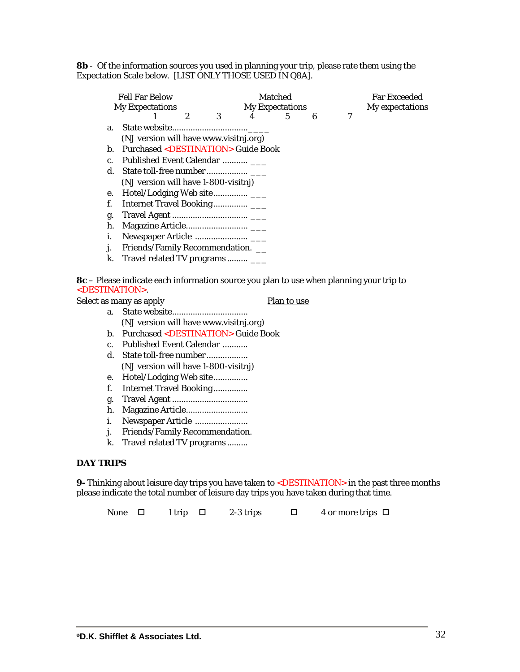**8b** - Of the information sources you used in planning your trip, please rate them using the Expectation Scale below. [LIST ONLY THOSE USED IN Q8A].

| <b>Fell Far Below</b><br><b>My Expectations</b> |                                                         |   | <b>Matched</b><br><b>My Expectations</b> |  |   |   |   | <b>Far Exceeded</b><br>My expectations |  |
|-------------------------------------------------|---------------------------------------------------------|---|------------------------------------------|--|---|---|---|----------------------------------------|--|
|                                                 |                                                         | 2 | 3                                        |  | 5 | 6 | 7 |                                        |  |
| a.                                              |                                                         |   |                                          |  |   |   |   |                                        |  |
|                                                 | (NJ version will have www.visitnj.org)                  |   |                                          |  |   |   |   |                                        |  |
| b.                                              | <b>Purchased <destination> Guide Book</destination></b> |   |                                          |  |   |   |   |                                        |  |
| C.                                              | Published Event Calendar                                |   |                                          |  |   |   |   |                                        |  |
| d.                                              |                                                         |   |                                          |  |   |   |   |                                        |  |
|                                                 | (NJ version will have 1-800-visitnj)                    |   |                                          |  |   |   |   |                                        |  |
| e.                                              |                                                         |   |                                          |  |   |   |   |                                        |  |
| f.                                              |                                                         |   |                                          |  |   |   |   |                                        |  |
| g.                                              |                                                         |   |                                          |  |   |   |   |                                        |  |
| h.                                              |                                                         |   |                                          |  |   |   |   |                                        |  |
| i.                                              |                                                         |   |                                          |  |   |   |   |                                        |  |
| j.                                              | Friends/Family Recommendation. __                       |   |                                          |  |   |   |   |                                        |  |
| k.                                              | Travel related TV programs                              |   |                                          |  |   |   |   |                                        |  |
|                                                 |                                                         |   |                                          |  |   |   |   |                                        |  |

**8c** – Please indicate each information source you plan to use when planning your trip to <DESTINATION>.

|  | Select as many as apply                             | Plan to use |
|--|-----------------------------------------------------|-------------|
|  |                                                     |             |
|  | (NJ version will have www.visitnj.org)              |             |
|  | b. Purchased <destination> Guide Book</destination> |             |
|  |                                                     |             |

- c. Published Event Calendar ........... d. State toll-free number .................. (NJ version will have 1-800-visitnj)
- e. Hotel/Lodging Web site...............
- f. Internet Travel Booking...............
- g. Travel Agent .................................
- h. Magazine Article...........................
- i. Newspaper Article .......................
- j. Friends/Family Recommendation.
- k. Travel related TV programs .........

### **DAY TRIPS**

**9-** Thinking about leisure day trips you have taken to <DESTINATION> in the past three months please indicate the total number of leisure day trips you have taken during that time.

None  $\Box$  1 trip  $\Box$  2-3 trips  $\Box$  4 or more trips  $\Box$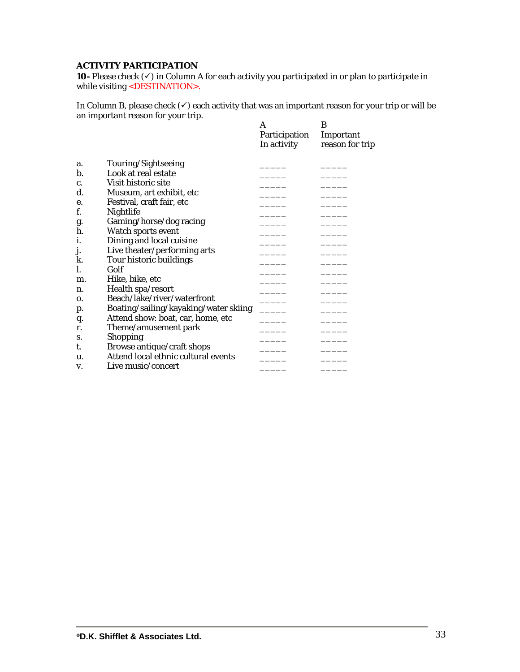### **ACTIVITY PARTICIPATION**

**10**- Please check  $(\checkmark)$  in Column A for each activity you participated in or plan to participate in while visiting <DESTINATION>.

In Column B, please check  $(\checkmark)$  each activity that was an important reason for your trip or will be an important reason for your trip.

|    |                                       | A             | B               |
|----|---------------------------------------|---------------|-----------------|
|    |                                       | Participation | Important       |
|    |                                       | In activity   | reason for trip |
| a. | Touring/Sightseeing                   |               |                 |
| b. | Look at real estate                   |               |                 |
| c. | Visit historic site                   |               |                 |
| d. | Museum, art exhibit, etc              |               |                 |
| е. | Festival, craft fair, etc             |               |                 |
| f. | Nightlife                             |               |                 |
| g. | Gaming/horse/dog racing               |               |                 |
| ĥ. | Watch sports event                    |               |                 |
| i. | Dining and local cuisine              |               |                 |
| j. | Live theater/performing arts          |               |                 |
| k. | Tour historic buildings               |               |                 |
| l. | Golf                                  |               |                 |
|    | Hike, bike, etc                       |               |                 |
| m. |                                       |               |                 |
| n. | Health spa/resort                     |               |                 |
| 0. | Beach/lake/river/waterfront           |               |                 |
| p. | Boating/sailing/kayaking/water skiing |               |                 |
| q. | Attend show: boat, car, home, etc     |               |                 |
| r. | Theme/amusement park                  |               |                 |
| S. | <b>Shopping</b>                       |               |                 |
| t. | Browse antique/craft shops            |               |                 |
| u. | Attend local ethnic cultural events   |               |                 |
| v. | Live music/concert                    |               |                 |
|    |                                       |               |                 |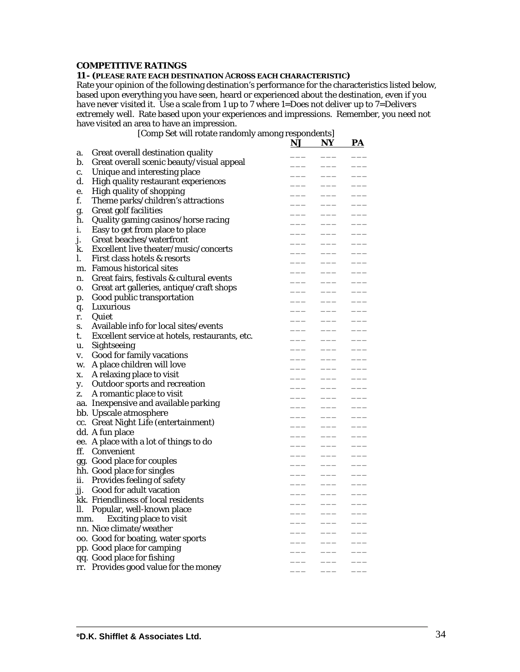#### **COMPETITIVE RATINGS**

#### **11** *- (PLEASE RATE EACH DESTINATION ACROSS EACH CHARACTERISTIC)*

Rate your opinion of the following destination's performance for the characteristics listed below, based upon everything you have seen, heard or experienced about the destination, *even if you have never visited it*. Use a scale from 1 up to 7 where 1=*Does not deliver* up to 7=*Delivers extremely well*. Rate based upon your experiences and impressions. Remember, you need *not* have visited an area to have an impression.

[Comp Set will rotate randomly among respondents]

|     |                                                | <u>NJ</u> | NY            | <u>PA</u> |
|-----|------------------------------------------------|-----------|---------------|-----------|
| a.  | Great overall destination quality              |           |               |           |
| b.  | Great overall scenic beauty/visual appeal      |           |               |           |
| c.  | Unique and interesting place                   |           |               |           |
| d.  | High quality restaurant experiences            |           |               |           |
| e.  | <b>High quality of shopping</b>                |           |               |           |
| f.  | Theme parks/children's attractions             |           | $\frac{1}{2}$ |           |
| g.  | <b>Great golf facilities</b>                   |           |               |           |
| h.  | Quality gaming casinos/horse racing            |           |               |           |
| i.  | Easy to get from place to place                |           |               |           |
| j.  | Great beaches/waterfront                       |           |               |           |
| k.  | Excellent live theater/music/concerts          |           |               |           |
| I.  | First class hotels & resorts                   |           |               |           |
| m.  | <b>Famous historical sites</b>                 |           |               |           |
| n.  | Great fairs, festivals & cultural events       |           |               |           |
| 0.  | Great art galleries, antique/craft shops       |           |               |           |
| p.  | Good public transportation                     |           |               |           |
| q.  | Luxurious                                      |           |               |           |
| r.  | Quiet                                          |           |               |           |
| S.  | Available info for local sites/events          |           |               |           |
| t.  | Excellent service at hotels, restaurants, etc. |           |               |           |
| u.  | Sightseeing                                    |           |               |           |
| V.  | Good for family vacations                      |           |               |           |
| W.  | A place children will love                     |           |               |           |
| X.  | A relaxing place to visit                      |           |               |           |
| y.  | Outdoor sports and recreation                  |           |               |           |
| Z.  | A romantic place to visit                      |           |               |           |
|     | aa. Inexpensive and available parking          |           |               |           |
|     | bb. Upscale atmosphere                         |           |               |           |
|     | cc. Great Night Life (entertainment)           |           |               |           |
|     | dd. A fun place                                |           |               |           |
|     | ee. A place with a lot of things to do         |           |               |           |
|     | ff. Convenient                                 |           |               |           |
|     | gg. Good place for couples                     |           |               |           |
|     | hh. Good place for singles                     |           |               |           |
|     | ii. Provides feeling of safety                 |           |               |           |
|     | jj. Good for adult vacation                    |           |               |           |
|     | kk. Friendliness of local residents            |           |               |           |
| ll. | Popular, well-known place                      |           |               |           |
| mm. | <b>Exciting place to visit</b>                 |           |               |           |
|     | nn. Nice climate/weather                       |           |               |           |
|     | oo. Good for boating, water sports             |           |               |           |
|     | pp. Good place for camping                     |           |               |           |
|     | qq. Good place for fishing                     |           |               |           |
|     | rr. Provides good value for the money          |           |               |           |
|     |                                                |           |               |           |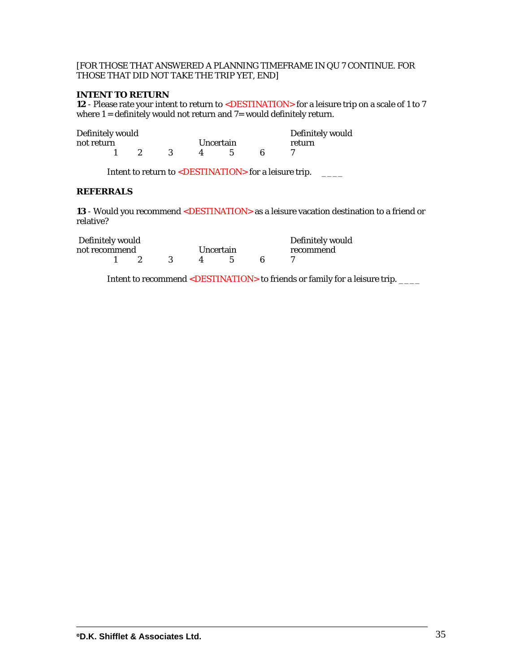### [FOR THOSE THAT ANSWERED A PLANNING TIMEFRAME IN QU 7 CONTINUE. FOR THOSE THAT DID NOT TAKE THE TRIP YET, END]

### **INTENT TO RETURN**

**12** - Please rate your intent to return to <DESTINATION> for a leisure trip on a scale of 1 to 7 where 1 = definitely would not return and 7= would definitely return.

| Definitely would |  | Definitely would |           |  |        |
|------------------|--|------------------|-----------|--|--------|
| not return       |  |                  | Uncertain |  | return |
|                  |  |                  |           |  |        |

Intent to return to <DESTINATION> for a leisure trip. \_\_\_\_\_

### **REFERRALS**

**13** - Would you recommend <DESTINATION> as a leisure vacation destination to a friend or relative?

| Definitely would | Definitely would |  |  |           |  |  |           |
|------------------|------------------|--|--|-----------|--|--|-----------|
| not recommend    |                  |  |  | Uncertain |  |  | recommend |
|                  |                  |  |  |           |  |  |           |

Intent to recommend <DESTINATION> to friends or family for a leisure trip. \_\_\_\_\_